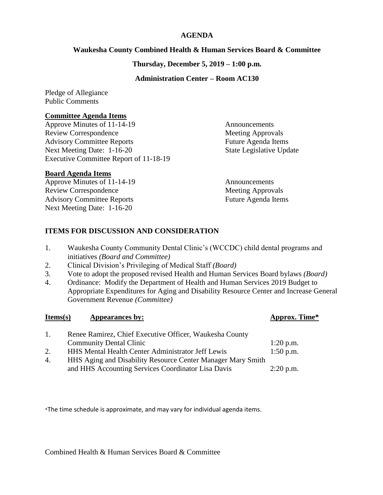## **AGENDA**

## **Waukesha County Combined Health & Human Services Board & Committee**

**Thursday, December 5, 2019 – 1:00 p.m.**

# **Administration Center – Room AC130**

Pledge of Allegiance Public Comments

#### **Committee Agenda Items**

Approve Minutes of 11-14-19 Announcements Review Correspondence Meeting Approvals Advisory Committee Reports Future Agenda Items Next Meeting Date: 1-16-20 State Legislative Update Executive Committee Report of 11-18-19

## **Board Agenda Items**

Approve Minutes of 11-14-19 Announcements Review Correspondence Meeting Approvals Advisory Committee Reports Future Agenda Items Next Meeting Date: 1-16-20

# **ITEMS FOR DISCUSSION AND CONSIDERATION**

- 1. Waukesha County Community Dental Clinic's (WCCDC) child dental programs and initiatives *(Board and Committee)*
- 2. Clinical Division's Privileging of Medical Staff *(Board)*
- 3. Vote to adopt the proposed revised Health and Human Services Board bylaws *(Board)*
- 4. Ordinance: Modify the Department of Health and Human Services 2019 Budget to Appropriate Expenditures for Aging and Disability Resource Center and Increase General Government Revenue *(Committee)*

| Items(s)       | Appearances by:                                             | Approx. Time* |
|----------------|-------------------------------------------------------------|---------------|
| $\mathbf{1}$ . | Renee Ramirez, Chief Executive Officer, Waukesha County     |               |
|                | <b>Community Dental Clinic</b>                              | $1:20$ p.m.   |
| 2.             | <b>HHS Mental Health Center Administrator Jeff Lewis</b>    | $1:50$ p.m.   |
| 4.             | HHS Aging and Disability Resource Center Manager Mary Smith |               |
|                | and HHS Accounting Services Coordinator Lisa Davis          | $2:20$ p.m.   |

\*The time schedule is approximate, and may vary for individual agenda items.

Combined Health & Human Services Board & Committee